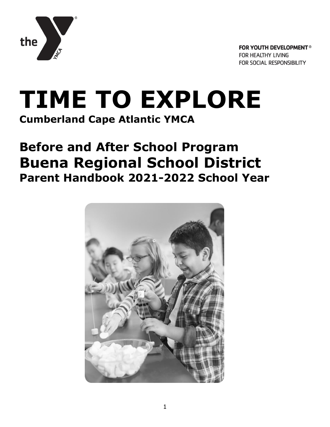

# **TIME TO EXPLORE Cumberland Cape Atlantic YMCA**

## **Before and After School Program Buena Regional School District Parent Handbook 2021-2022 School Year**

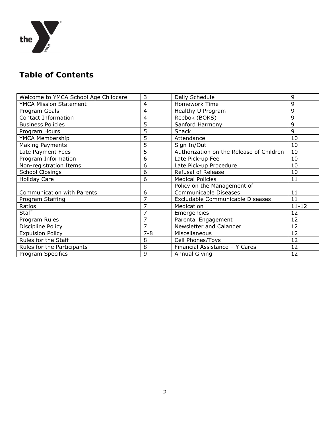

## **Table of Contents**

| Welcome to YMCA School Age Childcare | 3       | Daily Schedule                           | 9         |
|--------------------------------------|---------|------------------------------------------|-----------|
| <b>YMCA Mission Statement</b>        | 4       | Homework Time                            | 9         |
| Program Goals                        | 4       | Healthy U Program                        | 9         |
| Contact Information                  | 4       | Reebok (BOKS)                            | 9         |
| <b>Business Policies</b>             | 5       | Sanford Harmony                          | 9         |
| Program Hours                        | 5       | Snack                                    | 9         |
| YMCA Membership                      | 5       | Attendance                               | 10        |
| Making Payments                      | 5       | Sign In/Out                              | 10        |
| Late Payment Fees                    | 5       | Authorization on the Release of Children | 10        |
| Program Information                  | 6       | Late Pick-up Fee                         | 10        |
| Non-registration Items               | 6       | Late Pick-up Procedure                   | 10        |
| <b>School Closings</b>               | 6       | Refusal of Release                       | 10        |
| <b>Holiday Care</b>                  | 6       | <b>Medical Policies</b>                  | 11        |
|                                      |         | Policy on the Management of              |           |
| <b>Communication with Parents</b>    | 6       | Communicable Diseases                    | 11        |
| Program Staffing                     | 7       | Excludable Communicable Diseases         | 11        |
| Ratios                               | 7       | Medication                               | $11 - 12$ |
| <b>Staff</b>                         | 7       | Emergencies                              | 12        |
| Program Rules                        | 7       | Parental Engagement                      | 12        |
| Discipline Policy                    | 7       | Newsletter and Calander                  | 12        |
| <b>Expulsion Policy</b>              | $7 - 8$ | Miscellaneous                            | 12        |
| Rules for the Staff                  | 8       | Cell Phones/Toys                         | 12        |
| Rules for the Participants           | 8       | Financial Assistance - Y Cares           | 12        |
| Program Specifics                    | 9       | <b>Annual Giving</b>                     | 12        |
|                                      |         |                                          |           |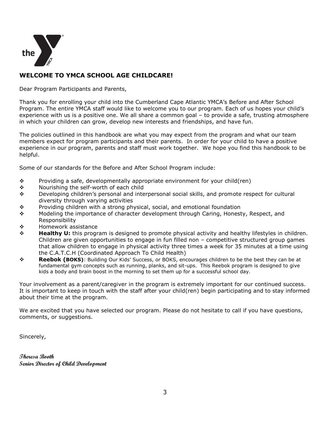

#### **WELCOME TO YMCA SCHOOL AGE CHILDCARE!**

Dear Program Participants and Parents,

Thank you for enrolling your child into the Cumberland Cape Atlantic YMCA's Before and After School Program. The entire YMCA staff would like to welcome you to our program. Each of us hopes your child's experience with us is a positive one. We all share a common goal – to provide a safe, trusting atmosphere in which your children can grow, develop new interests and friendships, and have fun.

The policies outlined in this handbook are what you may expect from the program and what our team members expect for program participants and their parents. In order for your child to have a positive experience in our program, parents and staff must work together. We hope you find this handbook to be helpful.

Some of our standards for the Before and After School Program include:

- $\div$  Providing a safe, developmentally appropriate environment for your child(ren)
- ◆ Nourishing the self-worth of each child
- $\div$  Developing children's personal and interpersonal social skills, and promote respect for cultural diversity through varying activities
- $\div$  Providing children with a strong physical, social, and emotional foundation
- $\div$  Modeling the importance of character development through Caring, Honesty, Respect, and Responsibility
- Homework assistance
- **Healthy U:** this program is designed to promote physical activity and healthy lifestyles in children. Children are given opportunities to engage in fun filled non – competitive structured group games that allow children to engage in physical activity three times a week for 35 minutes at a time using the C.A.T.C.H (Coordinated Approach To Child Health)
- **Reebok (BOKS)**: Building Our Kids' Success, or BOKS, encourages children to be the best they can be at fundamental gym concepts such as running, planks, and sit-ups. This Reebok program is designed to give kids a body and brain boost in the morning to set them up for a successful school day.

Your involvement as a parent/caregiver in the program is extremely important for our continued success. It is important to keep in touch with the staff after your child(ren) begin participating and to stay informed about their time at the program.

We are excited that you have selected our program. Please do not hesitate to call if you have questions, comments, or suggestions.

Sincerely,

**Theresa Booth Senior Director of Child Development**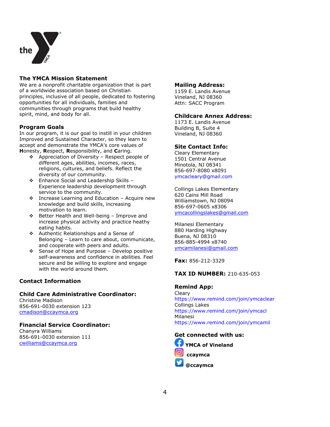

#### **The YMCA Mission Statement**

We are a nonprofit charitable organization that is part of a worldwide association based on Christian principles, inclusive of all people, dedicated to fostering opportunities for all individuals, families and communities through programs that build healthy spirit, mind, and body for all.

#### **Program Goals**

In our program, it is our goal to instill in your children Improved and Sustained Character, so they learn to accept and demonstrate the YMCA's core values of **H**onesty, **R**espect, **R**esponsibility, and **C**aring.

- Appreciation of Diversity Respect people of different ages, abilities, incomes, races, religions, cultures, and beliefs. Reflect the diversity of our community.
- Enhance Social and Leadership Skills Experience leadership development through service to the community.
- Increase Learning and Education Acquire new knowledge and build skills, increasing motivation to learn.
- Better Health and Well-being Improve and increase physical activity and practice heathy eating habits.
- Authentic Relationships and a Sense of Belonging – Learn to care about, communicate, and cooperate with peers and adults.
- $\div$  Sense of Hope and Purpose Develop positive self-awareness and confidence in abilities. Feel secure and be willing to explore and engage with the world around them.

#### **Contact Information**

#### **Child Care Administrative Coordinator:**

Christine Madison 856-691-0030 extension 123 [cmadison@ccaymca.org](mailto:cmadison@ccaymca.org)

#### **Financial Service Coordinator:**

Chanyra Williams 856-691-0030 extension 111 [cwilliams@ccaymca.org](mailto:cwilliams@ccaymca.org)

#### **Mailing Address:**

1159 E. Landis Avenue Vineland, NJ 08360 Attn: SACC Program

#### **Childcare Annex Address:**

1173 E. Landis Avenue Building B, Suite 4 Vineland, NJ 08360

#### **Site Contact Info:**

Cleary Elementary 1501 Central Avenue Minotola, NJ 08341 856-697-8080 x8091 ymcacleary@gmail.com

Collings Lakes Elementary 620 Cains Mill Road Williamstown, NJ 08094 856-697-0605 x8306 [ymcacollingslakes@gmail.com](mailto:ymcacollingslakes@gmail.com)

Milanesi Elementary 880 Harding Highway Buena, NJ 08310 856-885-4994 x8740 [ymcamilanesi@gmail.com](mailto:ymcamilanesi@gmail.com)

**Fax:** 856-212-3329

#### **TAX ID NUMBER:** 210-635-053

#### **Remind App:**

Cleary [https://www.remind.com/join/y](https://www.remind.com/join/)mcaclear Collings Lakes https://www.remind.com/join/ymcacl Milanesi [https://www.remind.com/join/y](https://www.remind.com/join/)mcamil

## **Get connected with us:**



**YMCA of Vineland ccaymca**

**@ccaymca**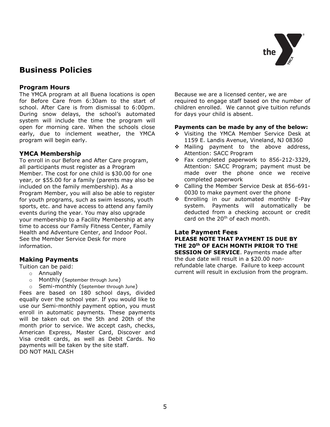

## **Business Policies**

#### **Program Hours**

The YMCA program at all Buena locations is open for Before Care from 6:30am to the start of school. After Care is from dismissal to 6:00pm. During snow delays, the school's automated system will include the time the program will open for morning care. When the schools close early, due to inclement weather, the YMCA program will begin early.

#### **YMCA Membership**

To enroll in our Before and After Care program, all participants must register as a Program Member. The cost for one child is \$30.00 for one year, or \$55.00 for a family (parents may also be included on the family membership). As a Program Member, you will also be able to register for youth programs, such as swim lessons, youth sports, etc. and have access to attend any family events during the year. You may also upgrade your membership to a Facility Membership at any time to access our Family Fitness Center, Family Health and Adventure Center, and Indoor Pool. See the Member Service Desk for more information.

#### **Making Payments**

Tuition can be paid:

- o Annually
- o Monthly (September through June)
- o Semi-monthly (September through June)

Fees are based on 180 school days, divided equally over the school year. If you would like to use our Semi-monthly payment option, you must enroll in automatic payments. These payments will be taken out on the 5th and 20th of the month prior to service. We accept cash, checks, American Express, Master Card, Discover and Visa credit cards, as well as Debit Cards. No payments will be taken by the site staff. DO NOT MAIL CASH

Because we are a licensed center, we are required to engage staff based on the number of children enrolled. We cannot give tuition refunds for days your child is absent.

#### **Payments can be made by any of the below:**

- \* Visiting the YMCA Member Service Desk at 1159 E. Landis Avenue, Vineland, NJ 08360
- \* Mailing payment to the above address, Attention: SACC Program
- \* Fax completed paperwork to 856-212-3329, Attention: SACC Program; payment must be made over the phone once we receive completed paperwork
- Calling the Member Service Desk at 856-691- 0030 to make payment over the phone
- Enrolling in our automated monthly E-Pay system. Payments will automatically be deducted from a checking account or credit card on the  $20<sup>th</sup>$  of each month.

#### **Late Payment Fees PLEASE NOTE THAT PAYMENT IS DUE BY THE 20th OF EACH MONTH PRIOR TO THE SESSION OF SERVICE**. Payments made after the due date will result in a \$20.00 nonrefundable late charge. Failure to keep account current will result in exclusion from the program.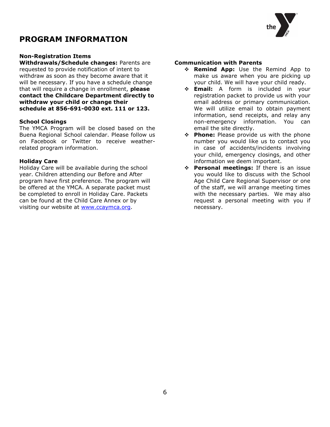## **PROGRAM INFORMATION**



#### **Non-Registration Items**

**Withdrawals/Schedule changes:** Parents are requested to provide notification of intent to withdraw as soon as they become aware that it will be necessary. If you have a schedule change that will require a change in enrollment, **please contact the Childcare Department directly to withdraw your child or change their schedule at 856-691-0030 ext. 111 or 123.**

#### **School Closings**

The YMCA Program will be closed based on the Buena Regional School calendar. Please follow us on Facebook or Twitter to receive weatherrelated program information.

#### **Holiday Care**

Holiday Care will be available during the school year. Children attending our Before and After program have first preference. The program will be offered at the YMCA. A separate packet must be completed to enroll in Holiday Care. Packets can be found at the Child Care Annex or by visiting our website at [www.ccaymca.org.](http://www.ccaymca.org/)

#### **Communication with Parents**

- **Remind App:** Use the Remind App to make us aware when you are picking up your child. We will have your child ready.
- **Email:** A form is included in your registration packet to provide us with your email address or primary communication. We will utilize email to obtain payment information, send receipts, and relay any non-emergency information. You can email the site directly.
- **Phone:** Please provide us with the phone number you would like us to contact you in case of accidents/incidents involving your child, emergency closings, and other information we deem important.
- **Personal meetings:** If there is an issue you would like to discuss with the School Age Child Care Regional Supervisor or one of the staff, we will arrange meeting times with the necessary parties. We may also request a personal meeting with you if necessary.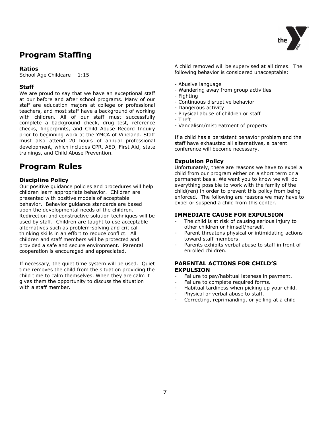

## **Program Staffing**

#### **Ratios**

School Age Childcare 1:15

#### **Staff**

We are proud to say that we have an exceptional staff at our before and after school programs. Many of our staff are education majors at college or professional teachers, and most staff have a background of working with children. All of our staff must successfully complete a background check, drug test, reference checks, fingerprints, and Child Abuse Record Inquiry prior to beginning work at the YMCA of Vineland. Staff must also attend 20 hours of annual professional development, which includes CPR, AED, First Aid, state trainings, and Child Abuse Prevention.

## **Program Rules**

#### **Discipline Policy**

Our positive guidance policies and procedures will help children learn appropriate behavior. Children are presented with positive models of acceptable behavior. Behavior guidance standards are based upon the developmental needs of the children. Redirection and constructive solution techniques will be used by staff. Children are taught to use acceptable alternatives such as problem-solving and critical thinking skills in an effort to reduce conflict. All children and staff members will be protected and provided a safe and secure environment. Parental cooperation is encouraged and appreciated.

If necessary, the quiet time system will be used. Quiet time removes the child from the situation providing the child time to calm themselves. When they are calm it gives them the opportunity to discuss the situation with a staff member.

A child removed will be supervised at all times. The following behavior is considered unacceptable:

- Abusive language
- Wandering away from group activities
- Fighting
- Continuous disruptive behavior
- Dangerous activity
- Physical abuse of children or staff
- Theft
- Vandalism/mistreatment of property

If a child has a persistent behavior problem and the staff have exhausted all alternatives, a parent conference will become necessary.

#### **Expulsion Policy**

Unfortunately, there are reasons we have to expel a child from our program either on a short term or a permanent basis. We want you to know we will do everything possible to work with the family of the child(ren) in order to prevent this policy from being enforced. The following are reasons we may have to expel or suspend a child from this center.

#### **IMMEDIATE CAUSE FOR EXPULSION**

- The child is at risk of causing serious injury to other children or himself/herself.
- Parent threatens physical or intimidating actions toward staff members.
- Parents exhibits verbal abuse to staff in front of enrolled children.

#### **PARENTAL ACTIONS FOR CHILD'S EXPULSION**

- Failure to pay/habitual lateness in payment.
- Failure to complete required forms.
- Habitual tardiness when picking up your child.
- Physical or verbal abuse to staff.
- Correcting, reprimanding, or yelling at a child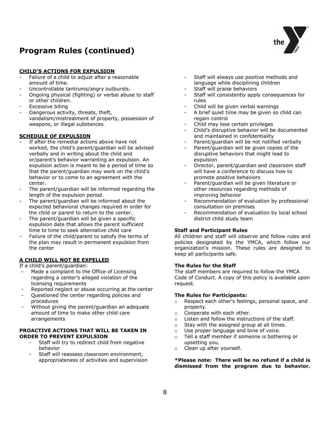## **Program Rules (continued)**



#### **CHILD'S ACTIONS FOR EXPULSION**

- Failure of a child to adjust after a reasonable amount of time.
- Uncontrollable tantrums/angry outbursts.
- Ongoing physical (fighting) or verbal abuse to staff or other children.
- Excessive biting
- Dangerous activity, threats, theft, vandalism/mistreatment of property, possession of weapons, or illegal substances

#### **SCHEDULE OF EXPULSION**

- If after the remedial actions above have not worked, the child's parent/guardian will be advised verbally and in writing about the child and or/parent's behavior warranting an expulsion. An expulsion action is meant to be a period of time so that the parent/guardian may work on the child's behavior or to come to an agreement with the center.
- The parent/guardian will be informed regarding the length of the expulsion period.
- The parent/quardian will be informed about the expected behavioral changes required in order for the child or parent to return to the center.
- The parent/guardian will be given a specific expulsion date that allows the parent sufficient time to time to seek alternative child care
- Failure of the child/parent to satisfy the terms of the plan may result in permanent expulsion from the center

#### **A CHILD WILL NOT BE EXPELLED**

If a child's parent/guardian:

- Made a complaint to the Office of Licensing regarding a center's alleged violation of the licensing requirements
- Reported neglect or abuse occurring at the center
- Questioned the center regarding policies and procedures
- Without giving the parent/guardian an adequate amount of time to make other child care arrangements

#### **PROACTIVE ACTIONS THAT WILL BE TAKEN IN ORDER TO PREVENT EXPULSION**

- Staff will try to redirect child from negative behavior
- Staff will reassess classroom environment, appropriateness of activities and supervision
- Staff will always use positive methods and language while disciplining children
- Staff will praise behaviors
- Staff will consistently apply consequences for rules
- Child will be given verbal warnings
- A brief quiet time may be given so child can regain control
- Child may lose certain privileges
- Child's disruptive behavior will be documented and maintained in confidentiality
- Parent/guardian will be not notified verbally
- Parent/guardian will be given copies of the disruptive behaviors that might lead to expulsion
- Director, parent/guardian and classroom staff will have a conference to discuss how to promote positive behaviors
- Parent/guardian will be given literature or other resources regarding methods of improving behavior
- Recommendation of evaluation by professional consultation on premises
- Recommendation of evaluation by local school district child study team

#### **Staff and Participant Rules**

All children and staff will observe and follow rules and policies designated by the YMCA, which follow our organization's mission. These rules are designed to keep all participants safe.

#### **The Rules for the Staff**

The staff members are required to follow the YMCA Code of Conduct. A copy of this policy is available upon request.

#### **The Rules for Participants:**

- o Respect each other's feelings, personal space, and property.
- o Cooperate with each other.
- o Listen and follow the instructions of the staff.
- o Stay with the assigned group at all times.
- o Use proper language and tone of voice.
- o Tell a staff member if someone is bothering or upsetting you.
- o Clean up after yourself.

#### **\*Please note: There will be no refund if a child is dismissed from the program due to behavior.**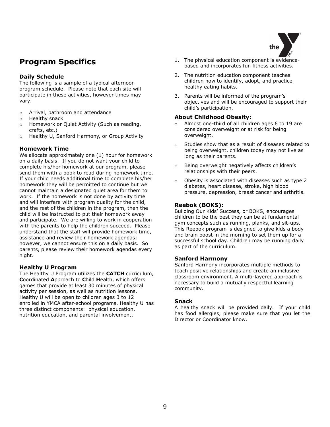

## **Program Specifics**

#### **Daily Schedule**

The following is a sample of a typical afternoon program schedule. Please note that each site will participate in these activities, however times may vary.

- o Arrival, bathroom and attendance
- o Healthy snack
- o Homework or Quiet Activity (Such as reading, crafts, etc.)
- o Healthy U, Sanford Harmony, or Group Activity

#### **Homework Time**

We allocate approximately one (1) hour for homework on a daily basis. If you do not want your child to complete his/her homework at our program, please send them with a book to read during homework time. If your child needs additional time to complete his/her homework they will be permitted to continue but we cannot maintain a designated quiet area for them to work. If the homework is not done by activity time and will interfere with program quality for the child, and the rest of the children in the program, then the child will be instructed to put their homework away and participate. We are willing to work in cooperation with the parents to help the children succeed. Please understand that the staff will provide homework time, assistance and review their homework agendas; however, we cannot ensure this on a daily basis. So parents, please review their homework agendas every night.

#### **Healthy U Program**

The Healthy U Program utilizes the **CATCH** curriculum, **C**oordinated **A**pproach to **C**hild **H**ealth, which offers games that provide at least 30 minutes of physical activity per session, as well as nutrition lessons. Healthy U will be open to children ages 3 to 12 enrolled in YMCA after-school programs. Healthy U has three distinct components: physical education, nutrition education, and parental involvement.

- 1. The physical education component is evidencebased and incorporates fun fitness activities.
- 2. The nutrition education component teaches children how to identify, adopt, and practice healthy eating habits.
- 3. Parents will be informed of the program's objectives and will be encouraged to support their child's participation.

#### **About Childhood Obesity:**

- Almost one-third of all children ages 6 to 19 are considered overweight or at risk for being overweight.
- o Studies show that as a result of diseases related to being overweight, children today may not live as long as their parents.
- o Being overweight negatively affects children's relationships with their peers.
- o Obesity is associated with diseases such as type 2 diabetes, heart disease, stroke, high blood pressure, depression, breast cancer and arthritis.

#### **Reebok (BOKS):**

Building Our Kids' Success, or BOKS, encourages children to be the best they can be at fundamental gym concepts such as running, planks, and sit-ups. This Reebok program is designed to give kids a body and brain boost in the morning to set them up for a successful school day. Children may be running daily as part of the curriculum.

#### **Sanford Harmony**

Sanford Harmony incorporates multiple methods to teach positive relationships and create an inclusive classroom environment. A multi-layered approach is necessary to build a mutually respectful learning community.

#### **Snack**

A healthy snack will be provided daily. If your child has food allergies, please make sure that you let the Director or Coordinator know.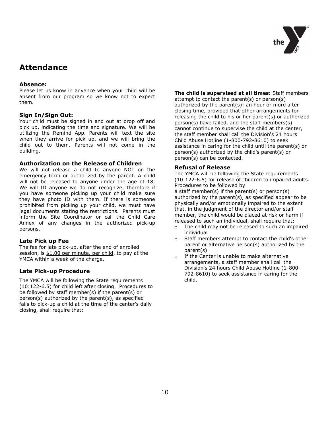

## **Attendance**

#### **Absence:**

Please let us know in advance when your child will be absent from our program so we know not to expect them.

#### **Sign In/Sign Out:**

Your child must be signed in and out at drop off and pick up, indicating the time and signature. We will be utilizing the Remind App. Parents will text the site when they arrive for pick up, and we will bring the child out to them. Parents will not come in the building.

#### **Authorization on the Release of Children**

We will not release a child to anyone NOT on the emergency form or authorized by the parent. A child will not be released to anyone under the age of 18. We will ID anyone we do not recognize, therefore if you have someone picking up your child make sure they have photo ID with them. If there is someone prohibited from picking up your child, we must have legal documents stating the restrictions. Parents must inform the Site Coordinator or call the Child Care Annex of any changes in the authorized pick-up persons.

#### **Late Pick up Fee**

The fee for late pick-up, after the end of enrolled session, is \$1.00 per minute, per child, to pay at the YMCA within a week of the charge.

#### **Late Pick-up Procedure**

The YMCA will be following the State requirements (10:122-6.5) for child left after closing. Procedures to be followed by staff member(s) if the parent(s) or person(s) authorized by the parent(s), as specified fails to pick-up a child at the time of the center's daily closing, shall require that:

#### **The child is supervised at all times:** Staff members

attempt to contact the parent(s) or person(s) authorized by the parent(s); an hour or more after closing time, provided that other arrangements for releasing the child to his or her parent(s) or authorized person(s) have failed, and the staff members(s) cannot continue to supervise the child at the center, the staff member shall call the Division's 24 hours Child Abuse Hotline (1-800-792-8610) to seek assistance in caring for the child until the parent(s) or person(s) authorized by the child's parent(s) or person(s) can be contacted.

#### **Refusal of Release**

The YMCA will be following the State requirements (10:122-6.5) for release of children to impaired adults. Procedures to be followed by

a staff member(s) if the parent(s) or person(s) authorized by the parent(s), as specified appear to be physically and/or emotionally impaired to the extent that, in the judgment of the director and/or staff member, the child would be placed at risk or harm if released to such an individual, shall require that:

- o The child may not be released to such an impaired individual
- o Staff members attempt to contact the child's other parent or alternative person(s) authorized by the parent(s)
- o If the Center is unable to make alternative arrangements, a staff member shall call the Division's 24 hours Child Abuse Hotline (1-800- 792-8610) to seek assistance in caring for the child.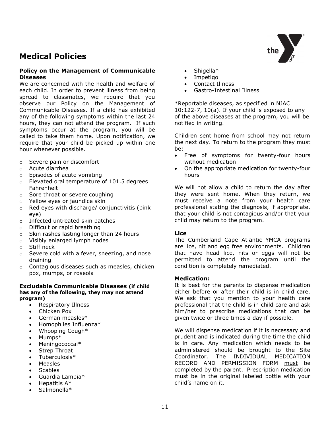## **Medical Policies**

#### **Policy on the Management of Communicable Diseases**

We are concerned with the health and welfare of each child. In order to prevent illness from being spread to classmates, we require that you observe our Policy on the Management of Communicable Diseases. If a child has exhibited any of the following symptoms within the last 24 hours, they can not attend the program. If such symptoms occur at the program, you will be called to take them home. Upon notification, we require that your child be picked up within one hour whenever possible.

- o Severe pain or discomfort
- o Acute diarrhea
- o Episodes of acute vomiting
- o Elevated oral temperature of 101.5 degrees Fahrenheit
- o Sore throat or severe coughing
- o Yellow eyes or jaundice skin
- o Red eyes with discharge/ conjunctivitis (pink eye)
- o Infected untreated skin patches
- o Difficult or rapid breathing
- o Skin rashes lasting longer than 24 hours
- o Visibly enlarged lymph nodes
- o Stiff neck
- o Severe cold with a fever, sneezing, and nose draining
- o Contagious diseases such as measles, chicken pox, mumps, or roseola

#### **Excludable Communicable Diseases (if child has any of the following, they may not attend program)**

- Respiratory Illness
- Chicken Pox
- German measles\*
- Homophiles Influenza\*
- Whooping Cough\*
- Mumps\*
- Meningococcal\*
- Strep Throat
- Tuberculosis\*
- Measles
- **Scabies**
- Guardia Lambia\*
- Hepatitis A\*
- Salmonella\*
- Shigella\*
- Impetigo
- Contact Illness
- Gastro-Intestinal Illness

\*Reportable diseases, as specified in NJAC 10:122-7, 10(a). If your child is exposed to any of the above diseases at the program, you will be notified in writing.

Children sent home from school may not return the next day. To return to the program they must be:

- Free of symptoms for twenty-four hours without medication
- On the appropriate medication for twenty-four hours

We will not allow a child to return the day after they were sent home. When they return, we must receive a note from your health care professional stating the diagnosis, if appropriate, that your child is not contagious and/or that your child may return to the program.

#### **Lice**

The Cumberland Cape Atlantic YMCA programs are lice, nit and egg free environments. Children that have head lice, nits or eggs will not be permitted to attend the program until the condition is completely remediated.

#### **Medication:**

It is best for the parents to dispense medication either before or after their child is in child care. We ask that you mention to your health care professional that the child is in child care and ask him/her to prescribe medications that can be given twice or three times a day if possible.

We will dispense medication if it is necessary and prudent and is indicated during the time the child is in care. Any medication which needs to be administered should be brought to the Site Coordinator. The INDIVIDUAL MEDICATION RECORD AND PERMISSION FORM must be completed by the parent. Prescription medication must be in the original labeled bottle with your child's name on it.